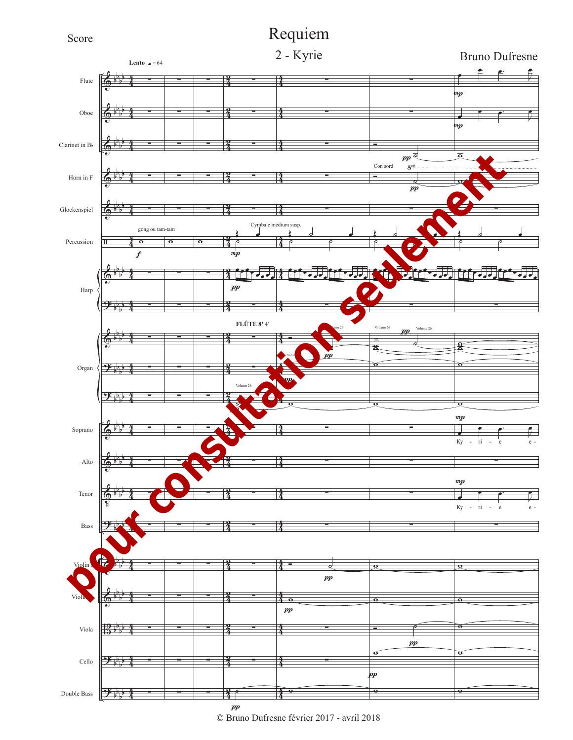

## Requiem



© Bruno Dufresne février 2017 - avril 2018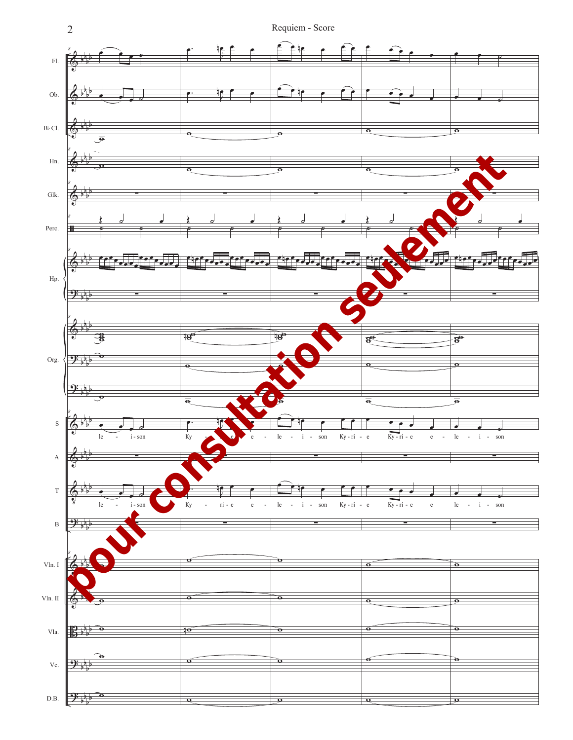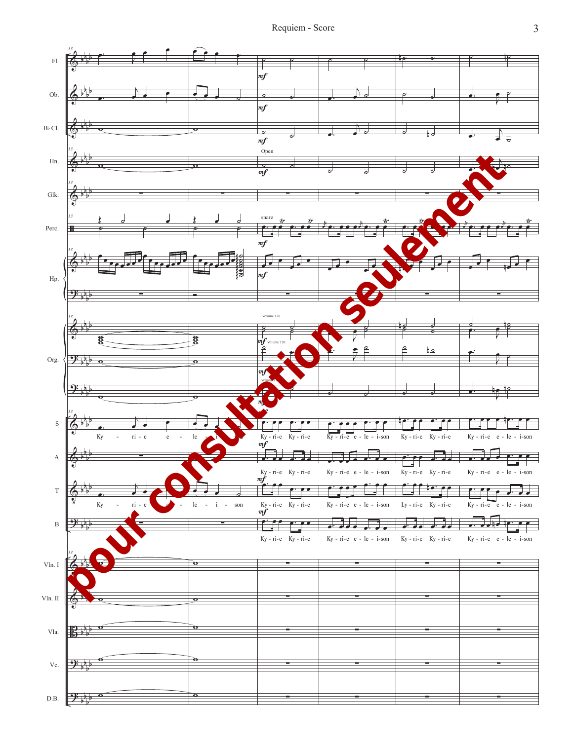